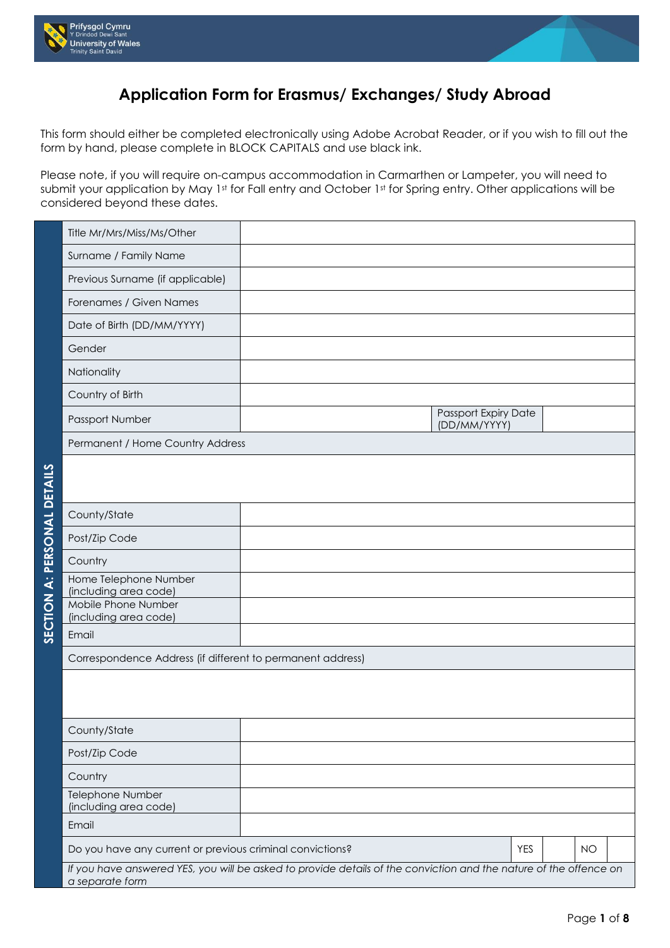



## **Application Form for Erasmus/ Exchanges/ Study Abroad**

This form should either be completed electronically using Adobe Acrobat Reader, or if you wish to fill out the form by hand, please complete in BLOCK CAPITALS and use black ink.

Please note, if you will require on-campus accommodation in Carmarthen or Lampeter, you will need to submit your application by May 1st for Fall entry and October 1st for Spring entry. Other applications will be considered beyond these dates.

| Title Mr/Mrs/Miss/Ms/Other                                                                                                           |  |                                      |            |  |           |  |  |  |
|--------------------------------------------------------------------------------------------------------------------------------------|--|--------------------------------------|------------|--|-----------|--|--|--|
| Surname / Family Name                                                                                                                |  |                                      |            |  |           |  |  |  |
| Previous Surname (if applicable)                                                                                                     |  |                                      |            |  |           |  |  |  |
| Forenames / Given Names                                                                                                              |  |                                      |            |  |           |  |  |  |
| Date of Birth (DD/MM/YYYY)                                                                                                           |  |                                      |            |  |           |  |  |  |
| Gender                                                                                                                               |  |                                      |            |  |           |  |  |  |
| Nationality                                                                                                                          |  |                                      |            |  |           |  |  |  |
| Country of Birth                                                                                                                     |  |                                      |            |  |           |  |  |  |
| Passport Number                                                                                                                      |  | Passport Expiry Date<br>(DD/MM/YYYY) |            |  |           |  |  |  |
| Permanent / Home Country Address                                                                                                     |  |                                      |            |  |           |  |  |  |
|                                                                                                                                      |  |                                      |            |  |           |  |  |  |
|                                                                                                                                      |  |                                      |            |  |           |  |  |  |
| County/State                                                                                                                         |  |                                      |            |  |           |  |  |  |
| Post/Zip Code                                                                                                                        |  |                                      |            |  |           |  |  |  |
| Country                                                                                                                              |  |                                      |            |  |           |  |  |  |
| Home Telephone Number<br>(including area code)                                                                                       |  |                                      |            |  |           |  |  |  |
| Mobile Phone Number<br>(including area code)                                                                                         |  |                                      |            |  |           |  |  |  |
| Email                                                                                                                                |  |                                      |            |  |           |  |  |  |
| Correspondence Address (if different to permanent address)                                                                           |  |                                      |            |  |           |  |  |  |
|                                                                                                                                      |  |                                      |            |  |           |  |  |  |
|                                                                                                                                      |  |                                      |            |  |           |  |  |  |
| County/State                                                                                                                         |  |                                      |            |  |           |  |  |  |
| Post/Zip Code                                                                                                                        |  |                                      |            |  |           |  |  |  |
| Country                                                                                                                              |  |                                      |            |  |           |  |  |  |
| Telephone Number<br>(including area code)                                                                                            |  |                                      |            |  |           |  |  |  |
| Email                                                                                                                                |  |                                      |            |  |           |  |  |  |
| Do you have any current or previous criminal convictions?                                                                            |  |                                      | <b>YES</b> |  | <b>NO</b> |  |  |  |
| If you have answered YES, you will be asked to provide details of the conviction and the nature of the offence on<br>a separate form |  |                                      |            |  |           |  |  |  |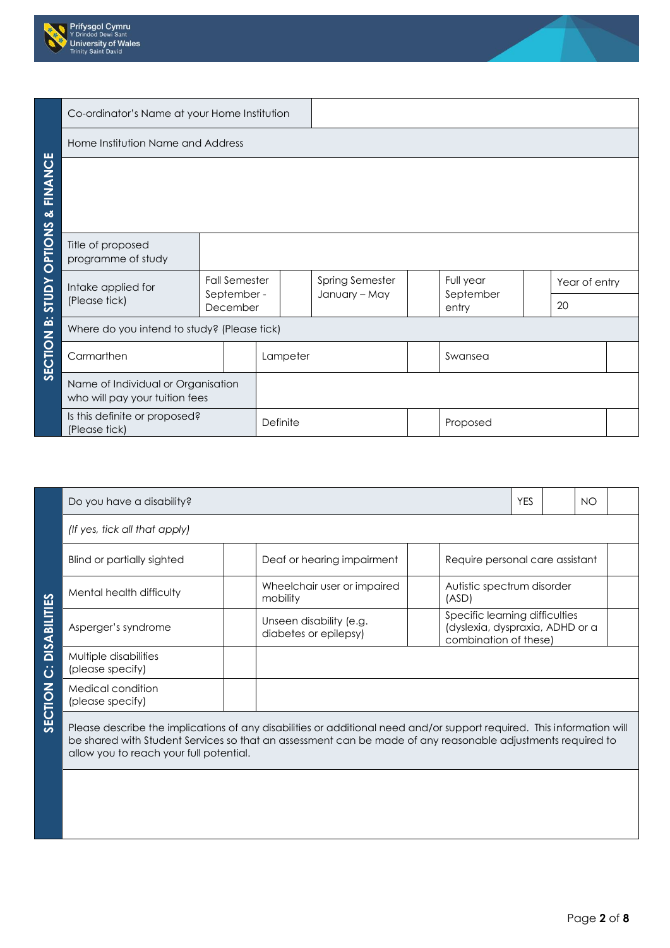



Page **2** of **8**

| Co-ordinator's Name at your Home Institution |                                                                      |  |          |          |  |                                  |  |                        |  |               |  |  |
|----------------------------------------------|----------------------------------------------------------------------|--|----------|----------|--|----------------------------------|--|------------------------|--|---------------|--|--|
|                                              | Home Institution Name and Address                                    |  |          |          |  |                                  |  |                        |  |               |  |  |
|                                              |                                                                      |  |          |          |  |                                  |  |                        |  |               |  |  |
|                                              |                                                                      |  |          |          |  |                                  |  |                        |  |               |  |  |
|                                              |                                                                      |  |          |          |  |                                  |  |                        |  |               |  |  |
| <b>OPTIONS &amp; FINANCE</b>                 | Title of proposed<br>programme of study                              |  |          |          |  |                                  |  |                        |  |               |  |  |
| YUDTS                                        | <b>Fall Semester</b><br>Intake applied for<br>September -            |  |          |          |  | Spring Semester<br>January - May |  | Full year<br>September |  | Year of entry |  |  |
|                                              | (Please tick)                                                        |  | December |          |  |                                  |  | entry                  |  | 20            |  |  |
|                                              | Where do you intend to study? (Please tick)                          |  |          |          |  |                                  |  |                        |  |               |  |  |
| <b>SECTION B:</b>                            | Carmarthen                                                           |  |          | Lampeter |  |                                  |  | Swansea                |  |               |  |  |
|                                              | Name of Individual or Organisation<br>who will pay your tuition fees |  |          |          |  |                                  |  |                        |  |               |  |  |
|                                              | Is this definite or proposed?<br>(Please tick)                       |  | Definite |          |  |                                  |  | Proposed               |  |               |  |  |

|                     | Do you have a disability?                 |                                                                                                                        | <b>YES</b>                          |                                                                                            | <b>NO</b> |  |  |  |  |
|---------------------|-------------------------------------------|------------------------------------------------------------------------------------------------------------------------|-------------------------------------|--------------------------------------------------------------------------------------------|-----------|--|--|--|--|
|                     | (If yes, tick all that apply)             |                                                                                                                        |                                     |                                                                                            |           |  |  |  |  |
|                     | Blind or partially sighted                | Deaf or hearing impairment                                                                                             |                                     | Require personal care assistant                                                            |           |  |  |  |  |
|                     | Mental health difficulty                  | Wheelchair user or impaired<br>mobility                                                                                | Autistic spectrum disorder<br>(ASD) |                                                                                            |           |  |  |  |  |
| <b>DISABILITIES</b> | Asperger's syndrome                       | Unseen disability (e.g.<br>diabetes or epilepsy)                                                                       |                                     | Specific learning difficulties<br>(dyslexia, dyspraxia, ADHD or a<br>combination of these) |           |  |  |  |  |
| ن                   | Multiple disabilities<br>(please specify) |                                                                                                                        |                                     |                                                                                            |           |  |  |  |  |
| <b>SECTION</b>      | Medical condition<br>(please specify)     |                                                                                                                        |                                     |                                                                                            |           |  |  |  |  |
|                     |                                           | Please describe the implications of any disabilities or additional need and/or support required. This information will |                                     |                                                                                            |           |  |  |  |  |

Please describe the implications of any disabilities or additional need and/or support required. This information will be shared with Student Services so that an assessment can be made of any reasonable adjustments required to allow you to reach your full potential.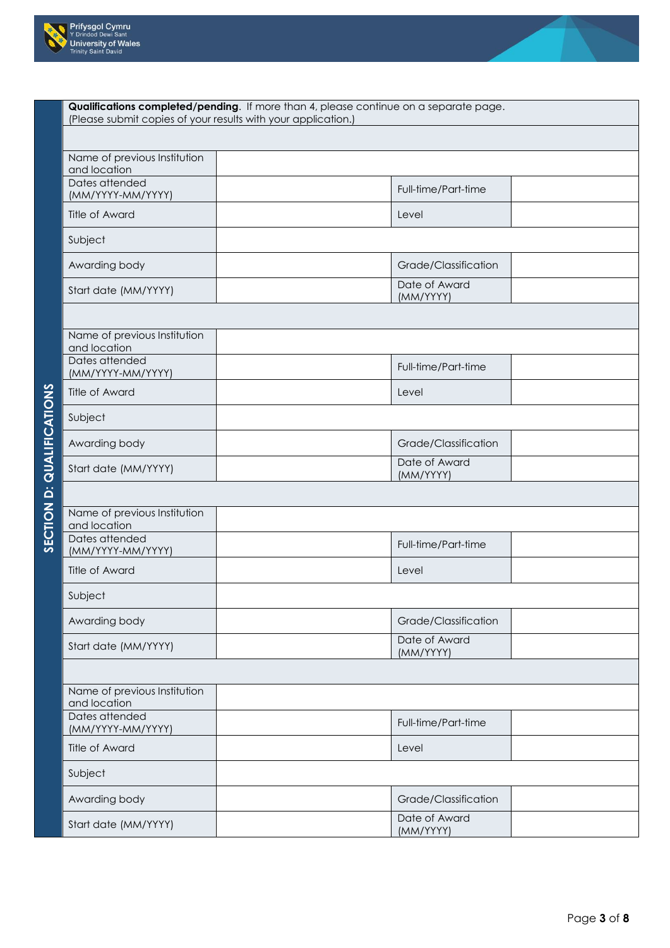



| Qualifications completed/pending. If more than 4, please continue on a separate page.<br>(Please submit copies of your results with your application.) |                            |  |  |  |  |  |
|--------------------------------------------------------------------------------------------------------------------------------------------------------|----------------------------|--|--|--|--|--|
|                                                                                                                                                        |                            |  |  |  |  |  |
| Name of previous Institution<br>and location                                                                                                           |                            |  |  |  |  |  |
| Dates attended<br>(MM/YYYY-MM/YYYY)                                                                                                                    | Full-time/Part-time        |  |  |  |  |  |
| Title of Award                                                                                                                                         | Level                      |  |  |  |  |  |
| Subject                                                                                                                                                |                            |  |  |  |  |  |
| Awarding body                                                                                                                                          | Grade/Classification       |  |  |  |  |  |
| Start date (MM/YYYY)                                                                                                                                   | Date of Award<br>(MM/YYYY) |  |  |  |  |  |
|                                                                                                                                                        |                            |  |  |  |  |  |
| Name of previous Institution<br>and location                                                                                                           |                            |  |  |  |  |  |
| Dates attended<br>(MM/YYYY-MM/YYYY)                                                                                                                    | Full-time/Part-time        |  |  |  |  |  |
| Title of Award                                                                                                                                         | Level                      |  |  |  |  |  |
| Subject                                                                                                                                                |                            |  |  |  |  |  |
| Awarding body                                                                                                                                          | Grade/Classification       |  |  |  |  |  |
| Start date (MM/YYYY)                                                                                                                                   | Date of Award<br>(MM/YYYY) |  |  |  |  |  |
|                                                                                                                                                        |                            |  |  |  |  |  |
| Name of previous Institution<br>and location                                                                                                           |                            |  |  |  |  |  |
| Dates attended<br>(MM/YYYY-MM/YYYY)                                                                                                                    | Full-time/Part-time        |  |  |  |  |  |
| Title of Award                                                                                                                                         | Level                      |  |  |  |  |  |
| Subject                                                                                                                                                |                            |  |  |  |  |  |
| Awarding body                                                                                                                                          | Grade/Classification       |  |  |  |  |  |
| Start date (MM/YYYY)                                                                                                                                   | Date of Award<br>(MM/YYYY) |  |  |  |  |  |
|                                                                                                                                                        |                            |  |  |  |  |  |
| Name of previous Institution<br>and location                                                                                                           |                            |  |  |  |  |  |
| Dates attended<br>(MM/YYYY-MM/YYYY)                                                                                                                    | Full-time/Part-time        |  |  |  |  |  |
| <b>Title of Award</b>                                                                                                                                  | Level                      |  |  |  |  |  |
| Subject                                                                                                                                                |                            |  |  |  |  |  |
| Awarding body                                                                                                                                          | Grade/Classification       |  |  |  |  |  |
| Start date (MM/YYYY)                                                                                                                                   | Date of Award<br>(MM/YYYY) |  |  |  |  |  |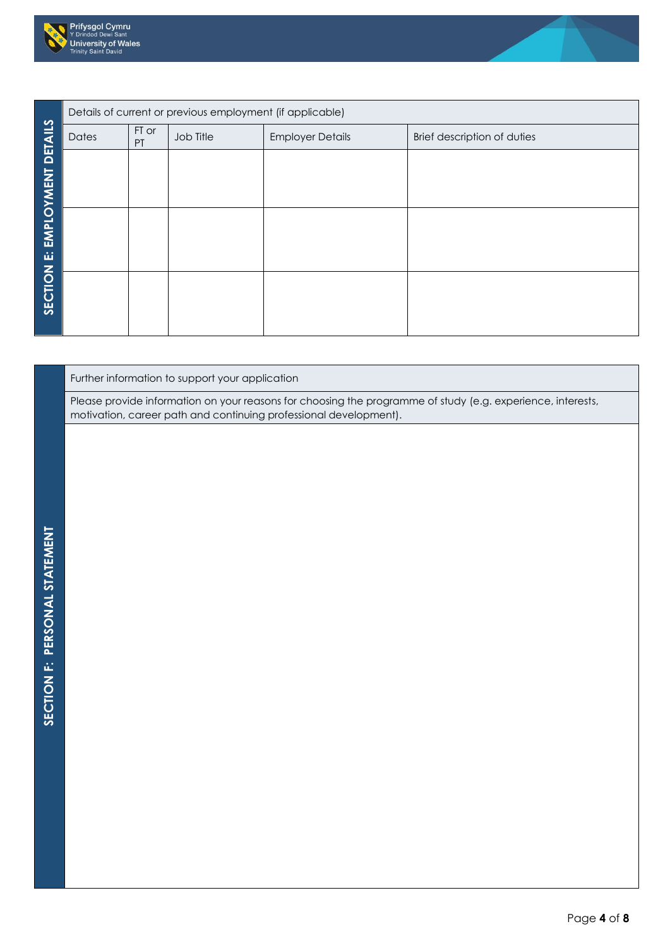



|                |       |             | Details of current or previous employment (if applicable) |                         |                             |
|----------------|-------|-------------|-----------------------------------------------------------|-------------------------|-----------------------------|
| <b>DETAILS</b> | Dates | FT or<br>PT | Job Title                                                 | <b>Employer Details</b> | Brief description of duties |
|                |       |             |                                                           |                         |                             |
| EMPLOYMENT     |       |             |                                                           |                         |                             |
|                |       |             |                                                           |                         |                             |
| ننا            |       |             |                                                           |                         |                             |
|                |       |             |                                                           |                         |                             |
| SECTION        |       |             |                                                           |                         |                             |
|                |       |             |                                                           |                         |                             |

## Further information to support your application

Please provide information on your reasons for choosing the programme of study (e.g. experience, interests, motivation, career path and continuing professional development).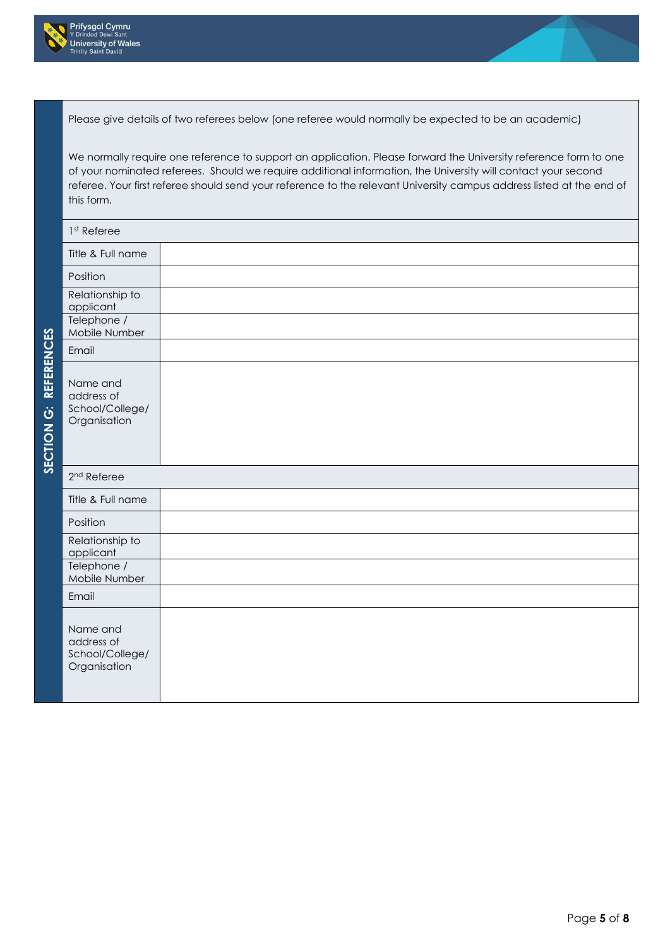



Please give details of two referees below (one referee would normally be expected to be an academic)

We normally require one reference to support an application. Please forward the University reference form to one of your nominated referees. Should we require additional information, the University will contact your second referee. Your first referee should send your reference to the relevant University campus address listed at the end of this form.

| 1 <sup>st</sup> Referee                                   |  |
|-----------------------------------------------------------|--|
| Title & Full name                                         |  |
| Position                                                  |  |
| Relationship to<br>applicant                              |  |
| Telephone /<br>Mobile Number                              |  |
| Email                                                     |  |
| Name and<br>address of<br>School/College/<br>Organisation |  |
| 2 <sup>nd</sup> Referee                                   |  |
| Title & Full name                                         |  |
| Position                                                  |  |
| Relationship to<br>applicant                              |  |
| Telephone /<br>Mobile Number                              |  |
| Email                                                     |  |
| Name and<br>address of<br>School/College/<br>Organisation |  |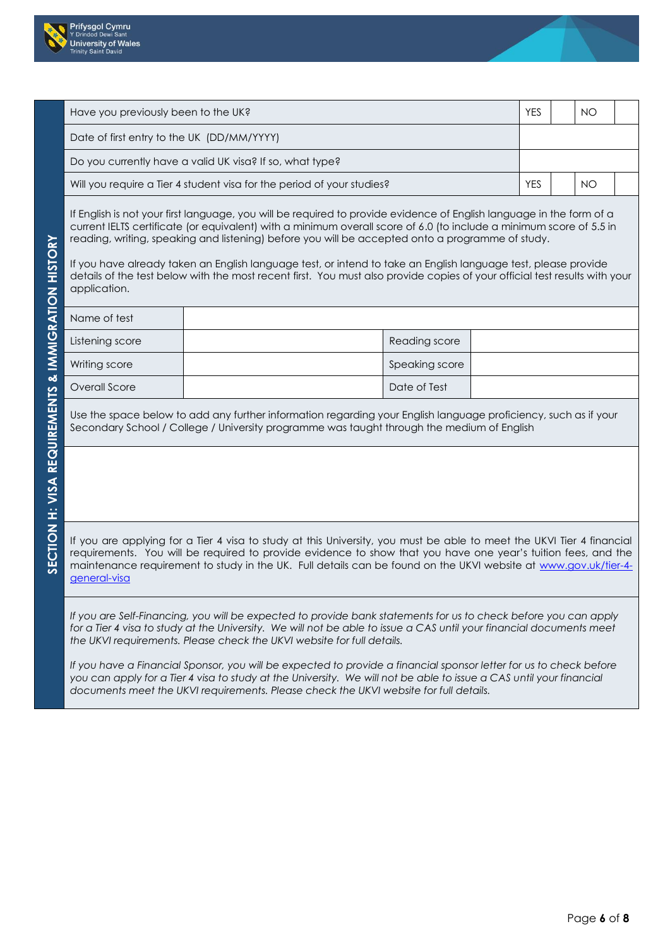



| Have you previously been to the UK?<br><b>YES</b>                      |  |  | NO        |  |
|------------------------------------------------------------------------|--|--|-----------|--|
| Date of first entry to the UK (DD/MM/YYYY)                             |  |  |           |  |
| Do you currently have a valid UK visa? If so, what type?               |  |  |           |  |
| Will you require a Tier 4 student visa for the period of your studies? |  |  | <b>NO</b> |  |

If English is not your first language, you will be required to provide evidence of English language in the form of a current IELTS certificate (or equivalent) with a minimum overall score of 6.0 (to include a minimum score of 5.5 in reading, writing, speaking and listening) before you will be accepted onto a programme of study.

If you have already taken an English language test, or intend to take an English language test, please provide details of the test below with the most recent first. You must also provide copies of your official test results with your application.

| Name of test    |                      |  |
|-----------------|----------------------|--|
| Listening score | <b>Reading score</b> |  |
| Writing score   | Speaking score       |  |
| Overall Score   | Date of Test         |  |

Use the space below to add any further information regarding your English language proficiency, such as if your Secondary School / College / University programme was taught through the medium of English

If you are applying for a Tier 4 visa to study at this University, you must be able to meet the UKVI Tier 4 financial requirements. You will be required to provide evidence to show that you have one year's tuition fees, and the maintenance requirement to study in the UK. Full details can be found on the UKVI website at [www.gov.uk/tier-4](http://www.gov.uk/tier-4-general-visa) [general-visa](http://www.gov.uk/tier-4-general-visa)

*If you are Self-Financing, you will be expected to provide bank statements for us to check before you can apply*  for a Tier 4 visa to study at the University. We will not be able to issue a CAS until your financial documents meet *the UKVI requirements. Please check the UKVI website for full details.* 

*If you have a Financial Sponsor, you will be expected to provide a financial sponsor letter for us to check before you can apply for a Tier 4 visa to study at the University. We will not be able to issue a CAS until your financial documents meet the UKVI requirements. Please check the UKVI website for full details.*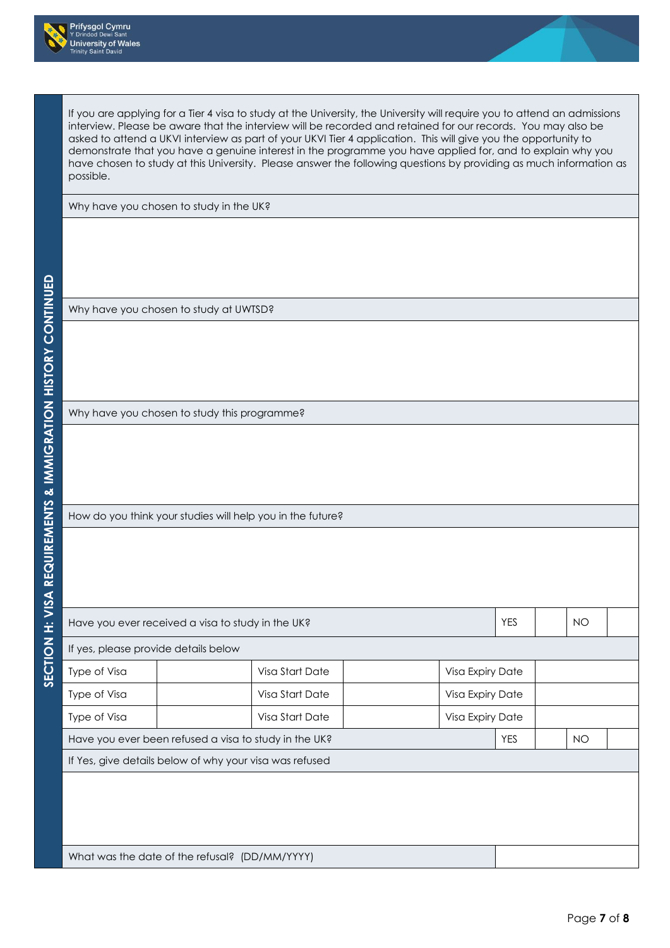



If you are applying for a Tier 4 visa to study at the University, the University will require you to attend an admissions interview. Please be aware that the interview will be recorded and retained for our records. You may also be asked to attend a UKVI interview as part of your UKVI Tier 4 application. This will give you the opportunity to demonstrate that you have a genuine interest in the programme you have applied for, and to explain why you have chosen to study at this University. Please answer the following questions by providing as much information as possible.

Why have you chosen to study in the UK?

Why have you chosen to study at UWTSD?

Why have you chosen to study this programme?

How do you think your studies will help you in the future?

What was the date of the refusal? (DD/MM/YYYY)

| Have you ever received a visa to study in the UK?     |                                                         |                 |                  |                  | <b>YES</b> |           | <b>NO</b> |  |
|-------------------------------------------------------|---------------------------------------------------------|-----------------|------------------|------------------|------------|-----------|-----------|--|
| If yes, please provide details below                  |                                                         |                 |                  |                  |            |           |           |  |
| Type of Visa                                          |                                                         | Visa Start Date |                  | Visa Expiry Date |            |           |           |  |
| Type of Visa                                          |                                                         | Visa Start Date | Visa Expiry Date |                  |            |           |           |  |
| Type of Visa                                          |                                                         | Visa Start Date |                  | Visa Expiry Date |            |           |           |  |
| Have you ever been refused a visa to study in the UK? |                                                         |                 |                  | <b>YES</b>       |            | <b>NO</b> |           |  |
|                                                       | If Yes, give details below of why your visa was refused |                 |                  |                  |            |           |           |  |
|                                                       |                                                         |                 |                  |                  |            |           |           |  |
|                                                       |                                                         |                 |                  |                  |            |           |           |  |
|                                                       |                                                         |                 |                  |                  |            |           |           |  |
|                                                       |                                                         |                 |                  |                  |            |           |           |  |